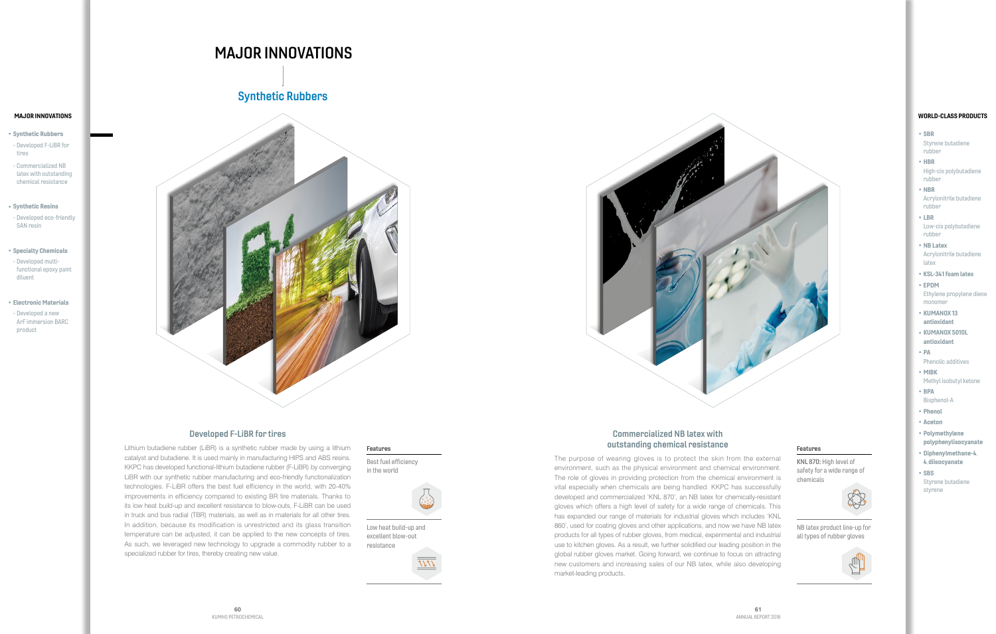# MAJOR INNOVATIONS

## Developed F-LiBR for tires

Lithium butadiene rubber (LiBR) is a synthetic rubber made by using a lithium catalyst and butadiene. It is used mainly in manufacturing HIPS and ABS resins. KKPC has developed functional-lithium butadiene rubber (F-LiBR) by converging LiBR with our synthetic rubber manufacturing and eco-friendly functionalization technologies. F-LiBR offers the best fuel efficiency in the world, with 20-40% improvements in efficiency compared to existing BR tire materials. Thanks to its low heat build-up and excellent resistance to blow-outs, F-LiBR can be used in truck and bus radial (TBR) materials, as well as in materials for all other tires. In addition, because its modification is unrestricted and its glass transition temperature can be adjusted, it can be applied to the new concepts of tires. As such, we leveraged new technology to upgrade a commodity rubber to a specialized rubber for tires, thereby creating new value.

## Commercialized NB latex with outstanding chemical resistance

The purpose of wearing gloves is to protect the skin from the external environment, such as the physical environment and chemical environment. The role of gloves in providing protection from the chemical environment is vital especially when chemicals are being handled. KKPC has successfully developed and commercialized 'KNL 870', an NB latex for chemically-resistant gloves which offers a high level of safety for a wide range of chemicals. This has expanded our range of materials for industrial gloves which includes 'KNL 860', used for coating gloves and other applications, and now we have NB latex products for all types of rubber gloves, from medical, experimental and industrial use to kitchen gloves. As a result, we further solidified our leading position in the global rubber gloves market. Going forward, we continue to focus on attracting new customers and increasing sales of our NB latex, while also developing market-leading products.

# Synthetic Rubbers





#### Features

KNL 870: High level of safety for a wide range of chemicals



NB latex product line-up for all types of rubber gloves



#### Features

Best fuel efficiency in the world



Low heat build-up and excellent blow-out resistance

- Synthetic Rubbers
- Developed F-LiBR for tires
- Commercialized NB latex with outstanding chemical resistance
- Synthetic Resins
- Developed eco-friendly SAN resin
- Specialty Chemicals - Developed multifunctional epoxy paint

diluent

- Electronic Materials - Developed a new
- ArF immersion BARC product

# MAJOR INNOVATIONS

- SBR Styrene butadiene rubber
- HBR High-cis polybutadiene rubber
- NBR Acrylonitrile butadiene rubber
- LBR Low-cis polybutadiene rubber
- NB Latex Acrylonitrile butadiene latex
- KSL-341 foam latex
- EPDM Ethylene propylene diene monomer
- KUMANOX 13 antioxidant
- KUMANOX 5010L antioxidant
- PA
- Phenolic additives
- MIBK
- Methyl isobutyl ketone
- BPA
- Bisphenol-A
- Phenol
- Aceton
- Polymethylene polyphenylisocyanate
- Diphenylmethane-4, 4,diisocyanate
- SBS Styrene butadiene styrene

#### WORLD-CLASS PRODUCTS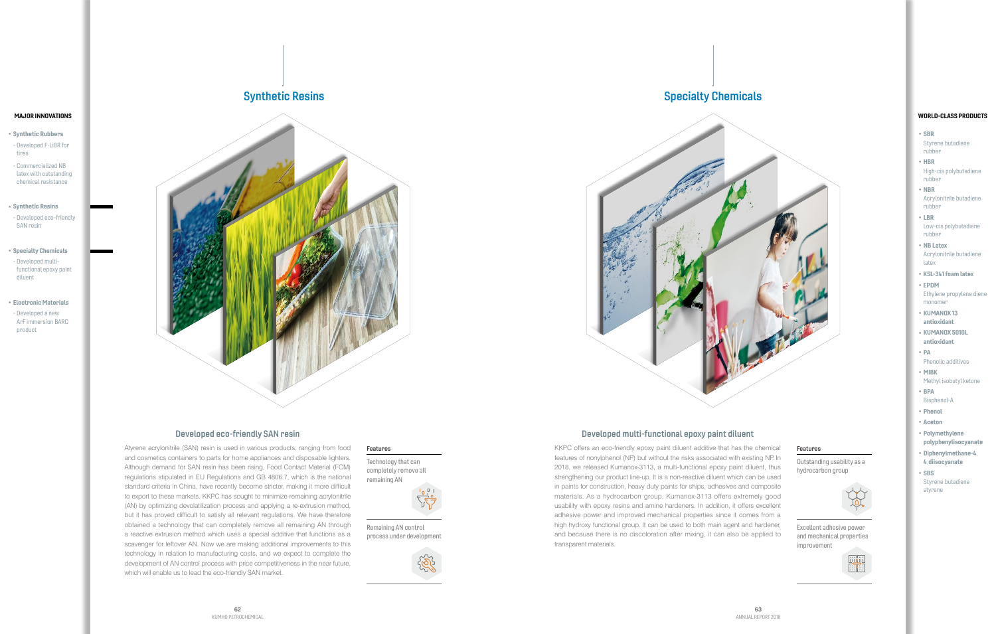### Developed eco-friendly SAN resin

Atyrene acrylonitrile (SAN) resin is used in various products, ranging from food and cosmetics containers to parts for home appliances and disposable lighters. Although demand for SAN resin has been rising, Food Contact Material (FCM) regulations stipulated in EU Regulations and GB 4806.7, which is the national standard criteria in China, have recently become stricter, making it more difficult to export to these markets. KKPC has sought to minimize remaining acrylonitrile (AN) by optimizing devolatilization process and applying a re-extrusion method, but it has proved difficult to satisfy all relevant regulations. We have therefore obtained a technology that can completely remove all remaining AN through a reactive extrusion method which uses a special additive that functions as a scavenger for leftover AN. Now we are making additional improvements to this technology in relation to manufacturing costs, and we expect to complete the development of AN control process with price competitiveness in the near future, which will enable us to lead the eco-friendly SAN market.

## Developed multi-functional epoxy paint diluent

KKPC offers an eco-friendly epoxy paint diluent additive that has the chemical features of nonylphenol (NP) but without the risks associated with existing NP. In 2018, we released Kumanox-3113, a multi-functional epoxy paint diluent, thus strengthening our product line-up. It is a non-reactive diluent which can be used in paints for construction, heavy duty paints for ships, adhesives and composite materials. As a hydrocarbon group, Kumanox-3113 offers extremely good usability with epoxy resins and amine hardeners. In addition, it offers excellent adhesive power and improved mechanical properties since it comes from a high hydroxy functional group. It can be used to both main agent and hardener, and because there is no discoloration after mixing, it can also be applied to transparent materials.

#### Features

Outstanding usability as a hydrocarbon group



Excellent adhesive power and mechanical properties improvement



#### Features

Technology that can completely remove all remaining AN



Remaining AN control process under development



- Synthetic Rubbers
- Developed F-LiBR for tires
- Commercialized NB latex with outstanding chemical resistance
- Synthetic Resins
- Developed eco-friendly SAN resin
- Specialty Chemicals - Developed multifunctional epoxy paint diluent
- Electronic Materials - Developed a new ArF immersion BARC product

# Synthetic Resins **Synthetic Resins** Synthetic Resins and Synthetic Resins and Synthetic Resins and Synthetic Resins and Synthetic Resins and Synthetic Resins and Synthetic Resins and Synthetic Resins and Synthetic Resins a





#### MAJOR INNOVATIONS

- SBR Styrene butadiene rubber
- HBR High-cis polybutadiene rubber
- NBR Acrylonitrile butadiene rubber
- LBR Low-cis polybutadiene rubber
- NB Latex Acrylonitrile butadiene latex
- KSL-341 foam latex
- EPDM Ethylene propylene diene monomer
- KUMANOX 13 antioxidant
- KUMANOX 5010L antioxidant
- PA
- Phenolic additives
- MIBK
- Methyl isobutyl ketone
- BPA
- Bisphenol-A
- Phenol
- Aceton
- Polymethylene polyphenylisocyanate
- Diphenylmethane-4, 4,diisocyanate
- SBS Styrene butadiene styrene

#### WORLD-CLASS PRODUCTS